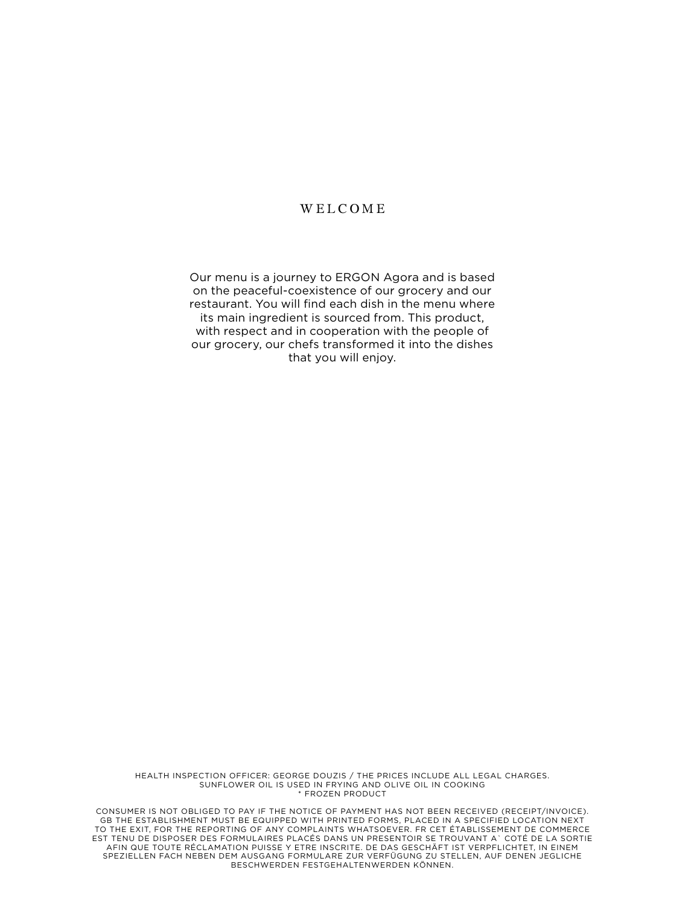#### WELCOME

Our menu is a journey to ERGON Agora and is based on the peaceful-coexistence of our grocery and our restaurant. You will find each dish in the menu where its main ingredient is sourced from. This product, with respect and in cooperation with the people of our grocery, our chefs transformed it into the dishes that you will enjoy.

HEALTH INSPECTION OFFICER: GEORGE DOUZIS / THE PRICES INCLUDE ALL LEGAL CHARGES. SUNFLOWER OIL IS USED IN FRYING AND OLIVE OIL IN COOKING \* FROZEN PRODUCT

CONSUMER IS ΝΟΤ OBLIGED TO PAY IF THE NOTICE OF PAYMENT HAS ΝΟΤ BEEN RECEIVED (RECEIPT/INVOICE). GB THE ESTABLISHMENT MUST BE EQUIPPED WITH PRINTED FORMS, PLACED IN A SPECIFIED LOCATION NEXT TO THE EXIT, FOR THE REPORTING OF ANY COMPLAINTS WHATSOEVER. FR CET ÉTABLISSEMENT DE COMMERCE EST TENU DE DISPOSER DES FORMULAIRES PLACÉS DANS UN PRESENTOIR SE TROUVANT A` COTÉ DE LA SORTIE AFIN QUE TOUTE RÉCLAMATION PUISSE Y ETRE INSCRITE. DE DAS GESCHÄFT IST VERPFLICHTET, IN EINEM SPEZIELLEN FACH NEBEN DEM AUSGANG FORMULARE ZUR VERFÜGUNG ZU STELLEN, AUF DENEN JEGLICHE BESCHWERDEN FESTGEHALTENWERDEN KÖNNEN.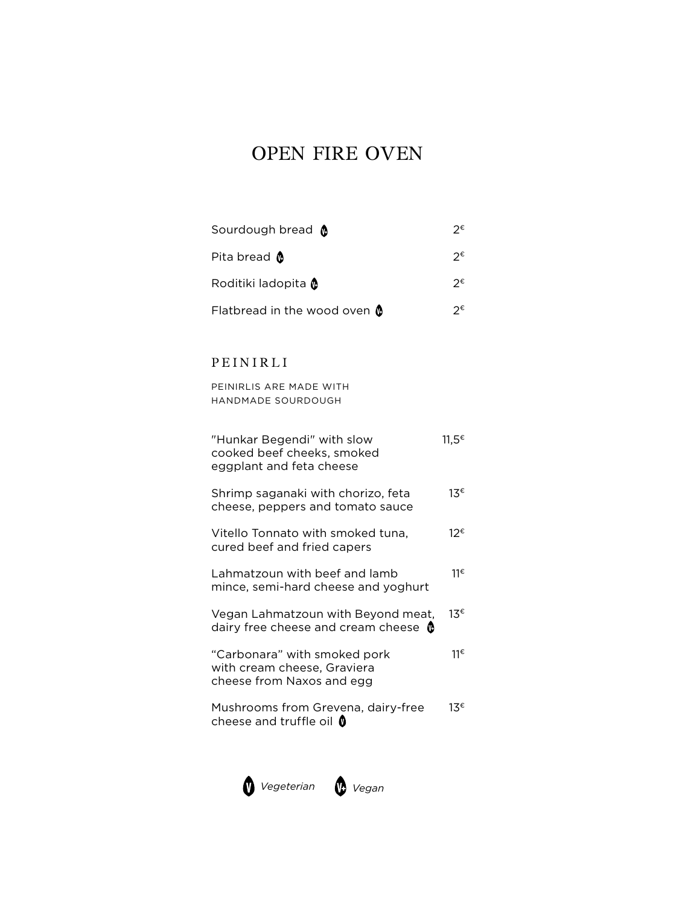# OPEN FIRE OVEN

| Sourdough bread @                        | つ€ |
|------------------------------------------|----|
| Pita bread $\,blacksquare\,$             | つ€ |
| Roditiki ladopita @                      | つ€ |
| Flatbread in the wood oven $\,mathbf{0}$ | າ€ |

## PEINIRLI

PEINIRLIS ARE MADE WITH HANDMADE SOURDOUGH

| "Hunkar Begendi" with slow<br>cooked beef cheeks, smoked<br>eggplant and feta cheese     | 11.5 <sup>€</sup> |
|------------------------------------------------------------------------------------------|-------------------|
| Shrimp saganaki with chorizo, feta<br>cheese, peppers and tomato sauce                   | 13€               |
| Vitello Tonnato with smoked tuna,<br>cured beef and fried capers                         | 12€               |
| Lahmatzoun with beef and lamb<br>mince, semi-hard cheese and yoghurt                     | 11€               |
| Vegan Lahmatzoun with Beyond meat,<br>dairy free cheese and cream cheese $\Phi$          | 13€               |
| "Carbonara" with smoked pork<br>with cream cheese, Graviera<br>cheese from Naxos and egg | 11€               |
| Mushrooms from Grevena, dairy-free<br>cheese and truffle oil $\, \bullet \,$             | 13€               |

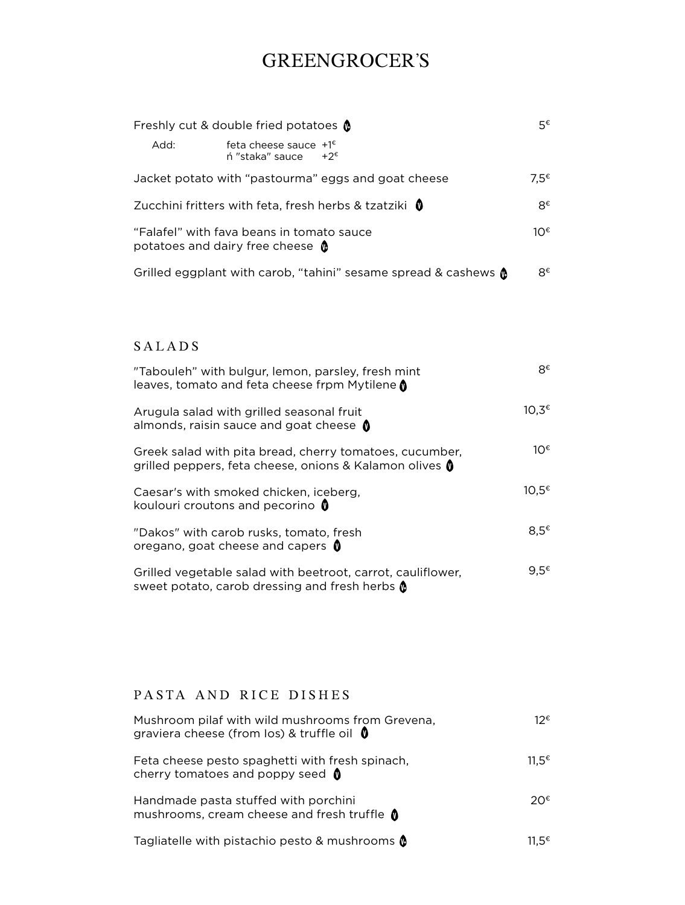## GREENGROCER'S

| Freshly cut & double fried potatoes $\triangle$                                      |                                                                         | 5€      |
|--------------------------------------------------------------------------------------|-------------------------------------------------------------------------|---------|
| Add:                                                                                 | feta cheese sauce $+1^{\epsilon}$<br>$+2^{\epsilon}$<br>ń "staka" sauce |         |
|                                                                                      | Jacket potato with "pastourma" eggs and goat cheese                     | $7.5$ € |
|                                                                                      | Zucchini fritters with feta, fresh herbs & tzatziki 0                   | R€      |
| "Falafel" with fava beans in tomato sauce<br>potatoes and dairy free cheese <b>0</b> |                                                                         | 1∩€     |
|                                                                                      | Grilled eggplant with carob, "tahini" sesame spread & cashews $\phi$    | R€      |

### SALADS

| "Tabouleh" with bulgur, lemon, parsley, fresh mint<br>leaves, tomato and feta cheese frpm Mytilene <b>0</b>        | R€                |
|--------------------------------------------------------------------------------------------------------------------|-------------------|
| Arugula salad with grilled seasonal fruit<br>almonds, raisin sauce and goat cheese $\bigcirc$                      | 10.3€             |
| Greek salad with pita bread, cherry tomatoes, cucumber,<br>grilled peppers, feta cheese, onions & Kalamon olives 0 | 1∩€               |
| Caesar's with smoked chicken, iceberg,<br>koulouri croutons and pecorino 0                                         | $10.5^{\epsilon}$ |
| "Dakos" with carob rusks, tomato, fresh<br>oregano, goat cheese and capers 0                                       | $8.5^{\epsilon}$  |
| Grilled vegetable salad with beetroot, carrot, cauliflower,<br>sweet potato, carob dressing and fresh herbs @      | 9.5€              |

### PASTA AND RICE DISHES

| Mushroom pilaf with wild mushrooms from Grevena,<br>graviera cheese (from los) & truffle oil $\phi$ | 12€               |
|-----------------------------------------------------------------------------------------------------|-------------------|
| Feta cheese pesto spaghetti with fresh spinach,<br>cherry tomatoes and poppy seed $\bullet$         | 11.5 <sup>€</sup> |
| Handmade pasta stuffed with porchini<br>mushrooms, cream cheese and fresh truffle (                 | າດ€               |
| Tagliatelle with pistachio pesto & mushrooms @                                                      | 11 5€             |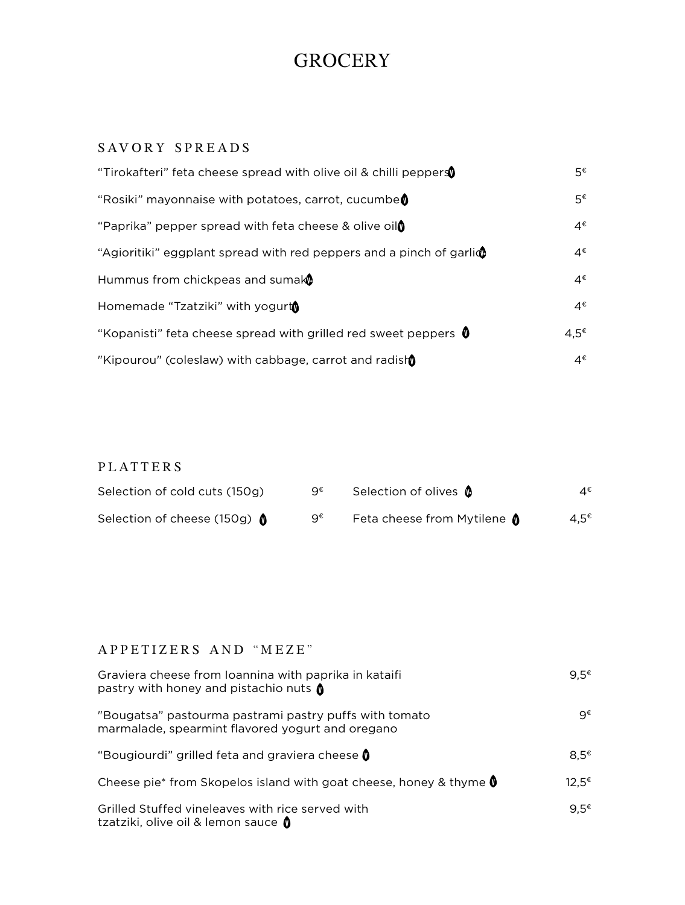## **GROCERY**

## SAVORY SPREADS

| "Tirokafteri" feta cheese spread with olive oil & chilli peppers          | 5€               |
|---------------------------------------------------------------------------|------------------|
| "Rosiki" mayonnaise with potatoes, carrot, cucumbe                        | 5€               |
| "Paprika" pepper spread with feta cheese & olive oil                      | 4€               |
| "Agioritiki" eggplant spread with red peppers and a pinch of garli $\Phi$ | 4€               |
| Hummus from chickpeas and sumake                                          | 4€               |
| Homemade "Tzatziki" with yogurt                                           | 4€               |
| "Kopanisti" feta cheese spread with grilled red sweet peppers $\mathbf 0$ | $4.5^{\epsilon}$ |
| "Kipourou" (coleslaw) with cabbage, carrot and radish                     | 4€               |

### PLATTERS

| Selection of cold cuts (150g) | 9€ | Selection of olives <b>0</b>       | 4€               |
|-------------------------------|----|------------------------------------|------------------|
| Selection of cheese (150g) Ô  | g€ | Feta cheese from Mytilene <b>(</b> | 4.5 <sup>€</sup> |

#### APPETIZERS AND "MEZE"

| Graviera cheese from Ioannina with paprika in kataifi<br>pastry with honey and pistachio nuts $\bullet$    | $9.5^{\epsilon}$  |
|------------------------------------------------------------------------------------------------------------|-------------------|
| "Bougatsa" pastourma pastrami pastry puffs with tomato<br>marmalade, spearmint flavored yogurt and oregano | q€                |
| "Bougiourdi" grilled feta and graviera cheese 0                                                            | 8.5€              |
| Cheese pie* from Skopelos island with goat cheese, honey & thyme <b>0</b>                                  | 12.5 <sup>€</sup> |
| Grilled Stuffed vineleaves with rice served with<br>tzatziki, olive oil & lemon sauce 0                    | $9.5^{\epsilon}$  |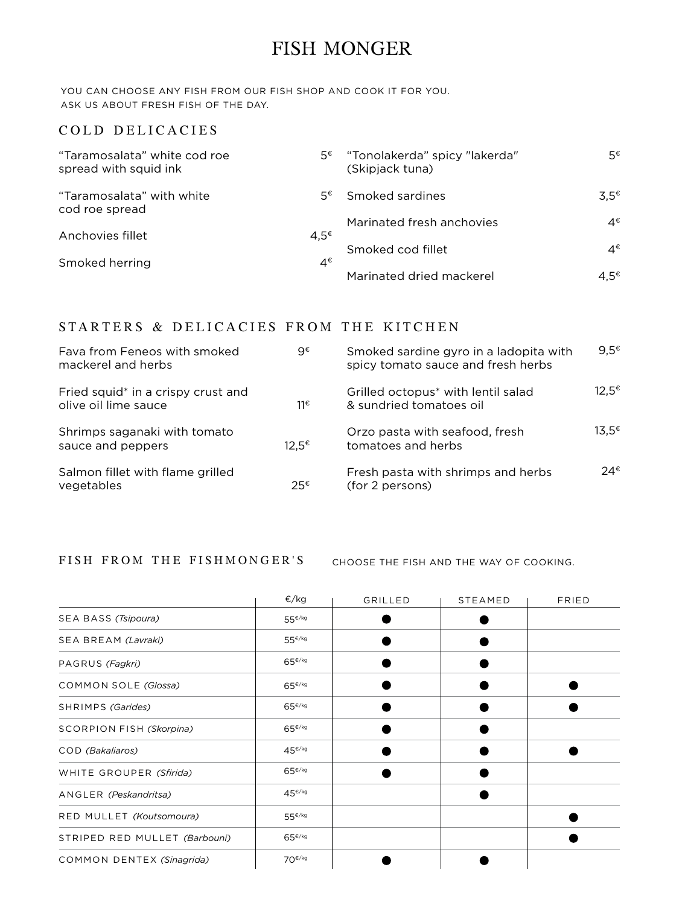## FISH MONGER

YOU CAN CHOOSE ANY FISH FROM OUR FISH SHOP AND COOK IT FOR YOU. ASK US ABOUT FRESH FISH OF THE DAY.

#### COLD DELICACIES

| "Taramosalata" white cod roe<br>spread with squid ink |                  | 5€ "Tonolakerda" spicy "lakerda"<br>(Skipjack tuna) | 5€               |
|-------------------------------------------------------|------------------|-----------------------------------------------------|------------------|
| "Taramosalata" with white<br>cod roe spread           | 5€               | Smoked sardines                                     | $3.5^{\epsilon}$ |
|                                                       |                  | Marinated fresh anchovies                           | 4€               |
| Anchovies fillet                                      | $4.5^{\epsilon}$ |                                                     |                  |
| Smoked herring                                        | 4€               | Smoked cod fillet                                   | 4€               |
|                                                       |                  | Marinated dried mackerel                            | 4.5 <sup>€</sup> |

#### STARTERS & DELICACIES FROM THE KITCHEN

| Fava from Feneos with smoked<br>mackerel and herbs         | g€                | Smoked sardine gyro in a ladopita with<br>spicy tomato sauce and fresh herbs | 9.5 $^{\epsilon}$ |
|------------------------------------------------------------|-------------------|------------------------------------------------------------------------------|-------------------|
| Fried squid* in a crispy crust and<br>olive oil lime sauce | 11€               | Grilled octopus <sup>*</sup> with lentil salad<br>& sundried tomatoes oil    | $12.5^{\epsilon}$ |
| Shrimps saganaki with tomato<br>sauce and peppers          | $12.5^{\epsilon}$ | Orzo pasta with seafood, fresh<br>tomatoes and herbs                         | $13.5^€$          |
| Salmon fillet with flame grilled<br>vegetables             | $25^{\epsilon}$   | Fresh pasta with shrimps and herbs<br>(for 2 persons)                        | $24^{\epsilon}$   |

FISH FROM THE FISHMONGER'S choose the fish and the way of cooking.

|                                 | €/kg               | GRILLED | <b>STEAMED</b> | FRIED |
|---------------------------------|--------------------|---------|----------------|-------|
| SEA BASS (Tsipoura)             | 55€/kg             |         |                |       |
| SEA BREAM (Lavraki)             | 55€/kg             |         |                |       |
| PAGRUS (Fagkri)                 | $65^{\epsilon/kg}$ |         |                |       |
| <b>COMMON SOLE (Glossa)</b>     | $65^{\epsilon/kg}$ |         |                |       |
| SHRIMPS (Garides)               | $65^{\epsilon/kg}$ |         |                |       |
| <b>SCORPION FISH (Skorpina)</b> | $65^{\epsilon/kg}$ |         |                |       |
| COD (Bakaliaros)                | 45€/kg             |         |                |       |
| WHITE GROUPER (Sfirida)         | $65^{\epsilon/kg}$ |         |                |       |
| ANGLER (Peskandritsa)           | 45€/kg             |         |                |       |
| RED MULLET (Koutsomoura)        | 55 <sup>€/kg</sup> |         |                |       |
| STRIPED RED MULLET (Barbouni)   | $65^{\epsilon/kg}$ |         |                |       |
| COMMON DENTEX (Sinagrida)       | $70^{\epsilon/kg}$ |         |                |       |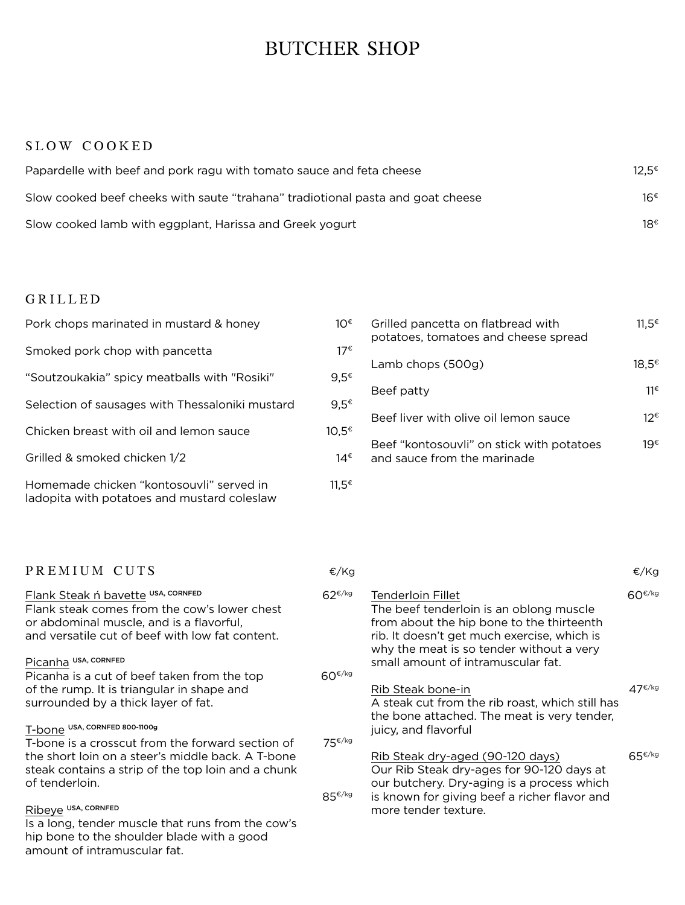## BUTCHER SHOP

#### SLOW COOKED

| Papardelle with beef and pork ragu with tomato sauce and feta cheese            | $12.5^{\epsilon}$ |
|---------------------------------------------------------------------------------|-------------------|
| Slow cooked beef cheeks with saute "trahana" tradiotional pasta and goat cheese | 16€               |
| Slow cooked lamb with eggplant, Harissa and Greek yogurt                        | 18€               |

#### GRILLED

amount of intramuscular fat.

| Pork chops marinated in mustard & honey                                                 | 10€               |
|-----------------------------------------------------------------------------------------|-------------------|
| Smoked pork chop with pancetta                                                          | $17^{\epsilon}$   |
| "Soutzoukakia" spicy meatballs with "Rosiki"                                            | $9.5^{\epsilon}$  |
| Selection of sausages with Thessaloniki mustard                                         | $9.5^{\epsilon}$  |
| Chicken breast with oil and lemon sauce                                                 | 10.5€             |
| Grilled & smoked chicken 1/2                                                            | 14€               |
| Homemade chicken "kontosouvli" served in<br>ladopita with potatoes and mustard coleslaw | $11.5^{\epsilon}$ |

| lO€<br>17€ | Grilled pancetta on flatbread with<br>potatoes, tomatoes and cheese spread | 11.5 <sup>€</sup> |
|------------|----------------------------------------------------------------------------|-------------------|
| .5€        | Lamb chops (500g)                                                          | 18.5€             |
| .5€        | Beef patty                                                                 | 11€               |
| .5€        | Beef liver with olive oil lemon sauce                                      | 12€               |
| 14€        | Beef "kontosouvli" on stick with potatoes<br>and sauce from the marinade   | 19€               |

| PREMIUM CUTS                                                                                                                                                                      | €/Kg        |                                                                                                                                                                                                      | €/Kg                     |
|-----------------------------------------------------------------------------------------------------------------------------------------------------------------------------------|-------------|------------------------------------------------------------------------------------------------------------------------------------------------------------------------------------------------------|--------------------------|
| Flank Steak ń bavette USA, CORNFED<br>Flank steak comes from the cow's lower chest<br>or abdominal muscle, and is a flavorful,<br>and versatile cut of beef with low fat content. | $62^{E/kg}$ | Tenderloin Fillet<br>The beef tenderloin is an oblong muscle<br>from about the hip bone to the thirteenth<br>rib. It doesn't get much exercise, which is<br>why the meat is so tender without a very | 60€/kg                   |
| Picanha USA, CORNFED                                                                                                                                                              |             | small amount of intramuscular fat.                                                                                                                                                                   |                          |
| Picanha is a cut of beef taken from the top                                                                                                                                       | $60^{f/kg}$ |                                                                                                                                                                                                      |                          |
| of the rump. It is triangular in shape and                                                                                                                                        |             | Rib Steak bone-in                                                                                                                                                                                    | 47 <sup>€/kg</sup>       |
| surrounded by a thick layer of fat.                                                                                                                                               |             | A steak cut from the rib roast, which still has<br>the bone attached. The meat is very tender,                                                                                                       |                          |
| T-bone USA, CORNFED 800-1100g                                                                                                                                                     |             | juicy, and flavorful                                                                                                                                                                                 |                          |
| T-bone is a crosscut from the forward section of                                                                                                                                  | 75€/kg      |                                                                                                                                                                                                      |                          |
| the short loin on a steer's middle back. A T-bone<br>steak contains a strip of the top loin and a chunk<br>of tenderloin.                                                         | $85^{f/kg}$ | Rib Steak dry-aged (90-120 days)<br>Our Rib Steak dry-ages for 90-120 days at<br>our butchery. Dry-aging is a process which<br>is known for giving beef a richer flavor and                          | $65 \frac{\epsilon}{kg}$ |
| Ribeye USA, CORNFED                                                                                                                                                               |             | more tender texture.                                                                                                                                                                                 |                          |
| Is a long, tender muscle that runs from the cow's                                                                                                                                 |             |                                                                                                                                                                                                      |                          |
| hip bone to the shoulder blade with a good                                                                                                                                        |             |                                                                                                                                                                                                      |                          |